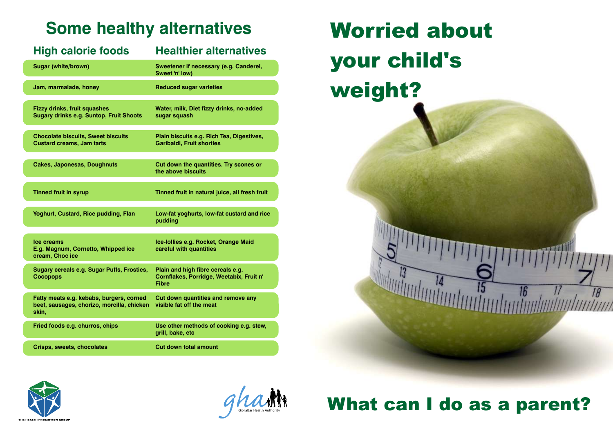## **Some healthy alternatives**

| <b>High calorie foods</b>                                                                       | <b>Healthier alternatives</b>                                                                 |
|-------------------------------------------------------------------------------------------------|-----------------------------------------------------------------------------------------------|
| <b>Sugar (white/brown)</b>                                                                      | Sweetener if necessary (e.g. Canderel,<br>Sweet 'n' low)                                      |
| Jam, marmalade, honey                                                                           | <b>Reduced sugar varieties</b>                                                                |
| <b>Fizzy drinks, fruit squashes</b><br><b>Sugary drinks e.g. Suntop, Fruit Shoots</b>           | Water, milk, Diet fizzy drinks, no-added<br>sugar squash                                      |
| <b>Chocolate biscuits, Sweet biscuits</b><br><b>Custard creams, Jam tarts</b>                   | Plain biscuits e.g. Rich Tea, Digestives,<br><b>Garibaldi, Fruit shorties</b>                 |
| <b>Cakes, Japonesas, Doughnuts</b>                                                              | Cut down the quantities. Try scones or<br>the above biscuits                                  |
| <b>Tinned fruit in syrup</b>                                                                    | Tinned fruit in natural juice, all fresh fruit                                                |
| Yoghurt, Custard, Rice pudding, Flan                                                            | Low-fat yoghurts, low-fat custard and rice<br>pudding                                         |
| Ice creams<br>E.g. Magnum, Cornetto, Whipped ice<br>cream, Choc ice                             | Ice-Iollies e.g. Rocket, Orange Maid<br>careful with quantities                               |
| <b>Sugary cereals e.g. Sugar Puffs, Frosties,</b><br><b>Cocopops</b>                            | Plain and high fibre cereals e.g.<br>Cornflakes, Porridge, Weetabix, Fruit n'<br><b>Fibre</b> |
| Fatty meats e.g. kebabs, burgers, corned<br>beef, sausages, chorizo, morcilla, chicken<br>skin, | Cut down quantities and remove any<br>visible fat off the meat                                |
| Fried foods e.g. churros, chips                                                                 | Use other methods of cooking e.g. stew,<br>grill, bake, etc                                   |
| <b>Crisps, sweets, chocolates</b>                                                               | <b>Cut down total amount</b>                                                                  |







# What can I do as a parent?